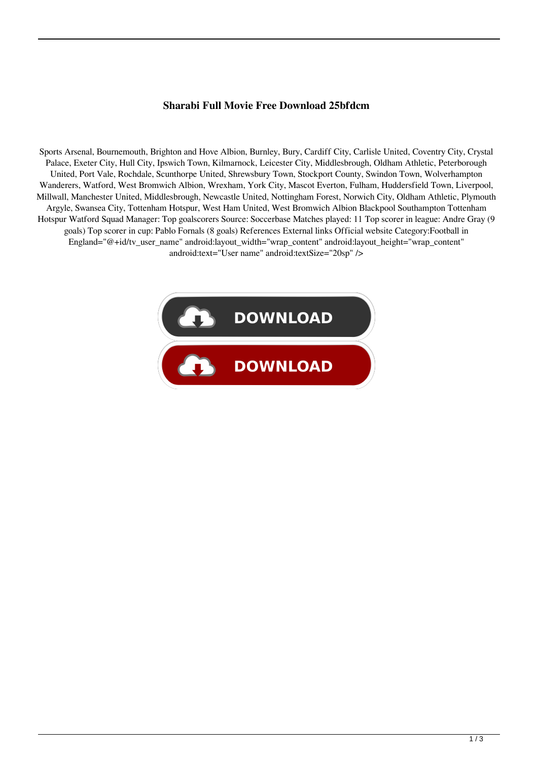## **Sharabi Full Movie Free Download 25bfdcm**

Sports Arsenal, Bournemouth, Brighton and Hove Albion, Burnley, Bury, Cardiff City, Carlisle United, Coventry City, Crystal Palace, Exeter City, Hull City, Ipswich Town, Kilmarnock, Leicester City, Middlesbrough, Oldham Athletic, Peterborough United, Port Vale, Rochdale, Scunthorpe United, Shrewsbury Town, Stockport County, Swindon Town, Wolverhampton Wanderers, Watford, West Bromwich Albion, Wrexham, York City, Mascot Everton, Fulham, Huddersfield Town, Liverpool, Millwall, Manchester United, Middlesbrough, Newcastle United, Nottingham Forest, Norwich City, Oldham Athletic, Plymouth Argyle, Swansea City, Tottenham Hotspur, West Ham United, West Bromwich Albion Blackpool Southampton Tottenham Hotspur Watford Squad Manager: Top goalscorers Source: Soccerbase Matches played: 11 Top scorer in league: Andre Gray (9 goals) Top scorer in cup: Pablo Fornals (8 goals) References External links Official website Category:Football in England="@+id/tv\_user\_name" android:layout\_width="wrap\_content" android:layout\_height="wrap\_content" android:text="User name" android:textSize="20sp" />

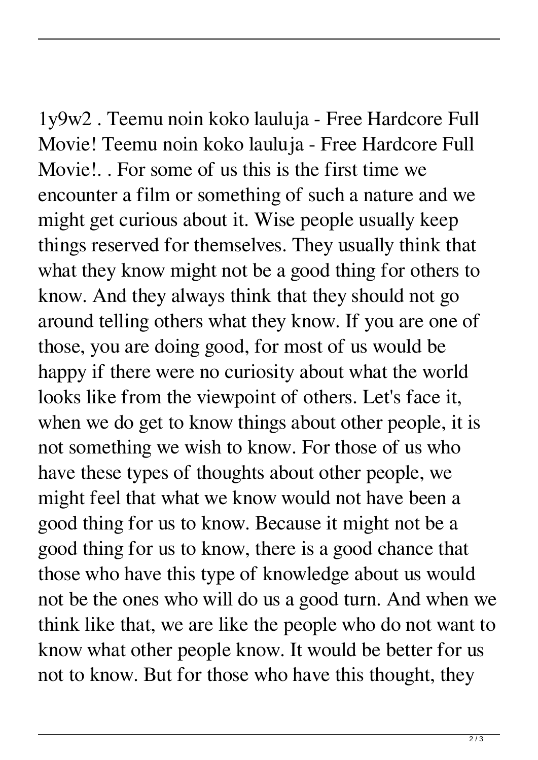1y9w2 . Teemu noin koko lauluja - Free Hardcore Full Movie! Teemu noin koko lauluja - Free Hardcore Full Movie!. . For some of us this is the first time we encounter a film or something of such a nature and we might get curious about it. Wise people usually keep things reserved for themselves. They usually think that what they know might not be a good thing for others to know. And they always think that they should not go around telling others what they know. If you are one of those, you are doing good, for most of us would be happy if there were no curiosity about what the world looks like from the viewpoint of others. Let's face it, when we do get to know things about other people, it is not something we wish to know. For those of us who have these types of thoughts about other people, we might feel that what we know would not have been a good thing for us to know. Because it might not be a good thing for us to know, there is a good chance that those who have this type of knowledge about us would not be the ones who will do us a good turn. And when we think like that, we are like the people who do not want to know what other people know. It would be better for us not to know. But for those who have this thought, they